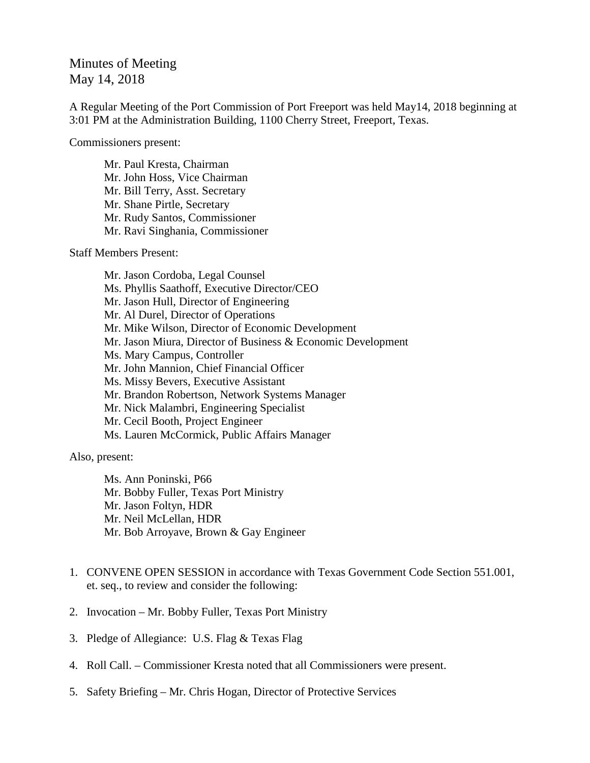## Minutes of Meeting May 14, 2018

A Regular Meeting of the Port Commission of Port Freeport was held May14, 2018 beginning at 3:01 PM at the Administration Building, 1100 Cherry Street, Freeport, Texas.

Commissioners present:

Mr. Paul Kresta, Chairman Mr. John Hoss, Vice Chairman Mr. Bill Terry, Asst. Secretary Mr. Shane Pirtle, Secretary Mr. Rudy Santos, Commissioner Mr. Ravi Singhania, Commissioner

Staff Members Present:

Mr. Jason Cordoba, Legal Counsel Ms. Phyllis Saathoff, Executive Director/CEO Mr. Jason Hull, Director of Engineering Mr. Al Durel, Director of Operations Mr. Mike Wilson, Director of Economic Development Mr. Jason Miura, Director of Business & Economic Development Ms. Mary Campus, Controller Mr. John Mannion, Chief Financial Officer Ms. Missy Bevers, Executive Assistant Mr. Brandon Robertson, Network Systems Manager Mr. Nick Malambri, Engineering Specialist Mr. Cecil Booth, Project Engineer Ms. Lauren McCormick, Public Affairs Manager

Also, present:

Ms. Ann Poninski, P66 Mr. Bobby Fuller, Texas Port Ministry Mr. Jason Foltyn, HDR Mr. Neil McLellan, HDR Mr. Bob Arroyave, Brown & Gay Engineer

- 1. CONVENE OPEN SESSION in accordance with Texas Government Code Section 551.001, et. seq., to review and consider the following:
- 2. Invocation Mr. Bobby Fuller, Texas Port Ministry
- 3. Pledge of Allegiance: U.S. Flag & Texas Flag
- 4. Roll Call. Commissioner Kresta noted that all Commissioners were present.
- 5. Safety Briefing Mr. Chris Hogan, Director of Protective Services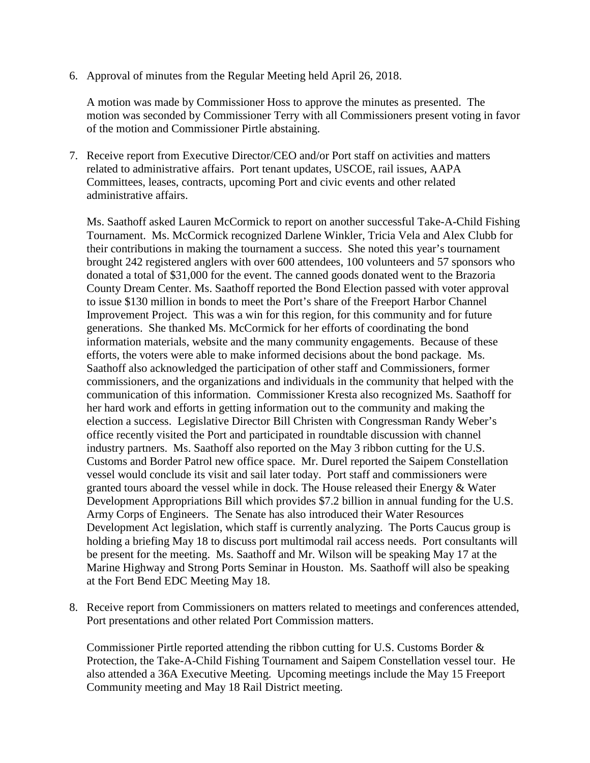6. Approval of minutes from the Regular Meeting held April 26, 2018.

A motion was made by Commissioner Hoss to approve the minutes as presented. The motion was seconded by Commissioner Terry with all Commissioners present voting in favor of the motion and Commissioner Pirtle abstaining.

7. Receive report from Executive Director/CEO and/or Port staff on activities and matters related to administrative affairs. Port tenant updates, USCOE, rail issues, AAPA Committees, leases, contracts, upcoming Port and civic events and other related administrative affairs.

Ms. Saathoff asked Lauren McCormick to report on another successful Take-A-Child Fishing Tournament. Ms. McCormick recognized Darlene Winkler, Tricia Vela and Alex Clubb for their contributions in making the tournament a success. She noted this year's tournament brought 242 registered anglers with over 600 attendees, 100 volunteers and 57 sponsors who donated a total of \$31,000 for the event. The canned goods donated went to the Brazoria County Dream Center. Ms. Saathoff reported the Bond Election passed with voter approval to issue \$130 million in bonds to meet the Port's share of the Freeport Harbor Channel Improvement Project. This was a win for this region, for this community and for future generations. She thanked Ms. McCormick for her efforts of coordinating the bond information materials, website and the many community engagements. Because of these efforts, the voters were able to make informed decisions about the bond package. Ms. Saathoff also acknowledged the participation of other staff and Commissioners, former commissioners, and the organizations and individuals in the community that helped with the communication of this information. Commissioner Kresta also recognized Ms. Saathoff for her hard work and efforts in getting information out to the community and making the election a success. Legislative Director Bill Christen with Congressman Randy Weber's office recently visited the Port and participated in roundtable discussion with channel industry partners. Ms. Saathoff also reported on the May 3 ribbon cutting for the U.S. Customs and Border Patrol new office space. Mr. Durel reported the Saipem Constellation vessel would conclude its visit and sail later today. Port staff and commissioners were granted tours aboard the vessel while in dock. The House released their Energy & Water Development Appropriations Bill which provides \$7.2 billion in annual funding for the U.S. Army Corps of Engineers. The Senate has also introduced their Water Resources Development Act legislation, which staff is currently analyzing. The Ports Caucus group is holding a briefing May 18 to discuss port multimodal rail access needs. Port consultants will be present for the meeting. Ms. Saathoff and Mr. Wilson will be speaking May 17 at the Marine Highway and Strong Ports Seminar in Houston. Ms. Saathoff will also be speaking at the Fort Bend EDC Meeting May 18.

8. Receive report from Commissioners on matters related to meetings and conferences attended, Port presentations and other related Port Commission matters.

Commissioner Pirtle reported attending the ribbon cutting for U.S. Customs Border & Protection, the Take-A-Child Fishing Tournament and Saipem Constellation vessel tour. He also attended a 36A Executive Meeting. Upcoming meetings include the May 15 Freeport Community meeting and May 18 Rail District meeting.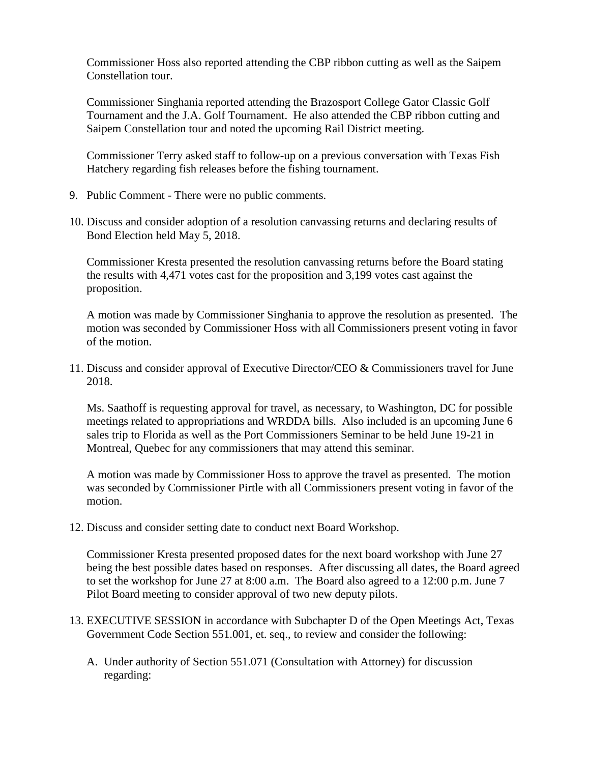Commissioner Hoss also reported attending the CBP ribbon cutting as well as the Saipem Constellation tour.

Commissioner Singhania reported attending the Brazosport College Gator Classic Golf Tournament and the J.A. Golf Tournament. He also attended the CBP ribbon cutting and Saipem Constellation tour and noted the upcoming Rail District meeting.

Commissioner Terry asked staff to follow-up on a previous conversation with Texas Fish Hatchery regarding fish releases before the fishing tournament.

- 9. Public Comment There were no public comments.
- 10. Discuss and consider adoption of a resolution canvassing returns and declaring results of Bond Election held May 5, 2018.

Commissioner Kresta presented the resolution canvassing returns before the Board stating the results with 4,471 votes cast for the proposition and 3,199 votes cast against the proposition.

A motion was made by Commissioner Singhania to approve the resolution as presented. The motion was seconded by Commissioner Hoss with all Commissioners present voting in favor of the motion.

11. Discuss and consider approval of Executive Director/CEO & Commissioners travel for June 2018.

Ms. Saathoff is requesting approval for travel, as necessary, to Washington, DC for possible meetings related to appropriations and WRDDA bills. Also included is an upcoming June 6 sales trip to Florida as well as the Port Commissioners Seminar to be held June 19-21 in Montreal, Quebec for any commissioners that may attend this seminar.

A motion was made by Commissioner Hoss to approve the travel as presented. The motion was seconded by Commissioner Pirtle with all Commissioners present voting in favor of the motion.

12. Discuss and consider setting date to conduct next Board Workshop.

Commissioner Kresta presented proposed dates for the next board workshop with June 27 being the best possible dates based on responses. After discussing all dates, the Board agreed to set the workshop for June 27 at 8:00 a.m. The Board also agreed to a 12:00 p.m. June 7 Pilot Board meeting to consider approval of two new deputy pilots.

- 13. EXECUTIVE SESSION in accordance with Subchapter D of the Open Meetings Act, Texas Government Code Section 551.001, et. seq., to review and consider the following:
	- A. Under authority of Section 551.071 (Consultation with Attorney) for discussion regarding: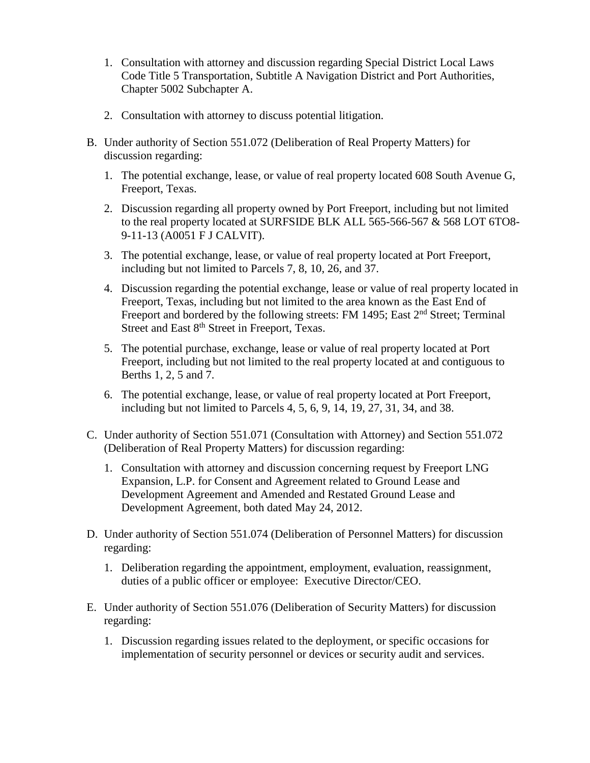- 1. Consultation with attorney and discussion regarding Special District Local Laws Code Title 5 Transportation, Subtitle A Navigation District and Port Authorities, Chapter 5002 Subchapter A.
- 2. Consultation with attorney to discuss potential litigation.
- B. Under authority of Section 551.072 (Deliberation of Real Property Matters) for discussion regarding:
	- 1. The potential exchange, lease, or value of real property located 608 South Avenue G, Freeport, Texas.
	- 2. Discussion regarding all property owned by Port Freeport, including but not limited to the real property located at SURFSIDE BLK ALL 565-566-567 & 568 LOT 6TO8- 9-11-13 (A0051 F J CALVIT).
	- 3. The potential exchange, lease, or value of real property located at Port Freeport, including but not limited to Parcels 7, 8, 10, 26, and 37.
	- 4. Discussion regarding the potential exchange, lease or value of real property located in Freeport, Texas, including but not limited to the area known as the East End of Freeport and bordered by the following streets: FM 1495; East 2<sup>nd</sup> Street; Terminal Street and East 8<sup>th</sup> Street in Freeport, Texas.
	- 5. The potential purchase, exchange, lease or value of real property located at Port Freeport, including but not limited to the real property located at and contiguous to Berths 1, 2, 5 and 7.
	- 6. The potential exchange, lease, or value of real property located at Port Freeport, including but not limited to Parcels 4, 5, 6, 9, 14, 19, 27, 31, 34, and 38.
- C. Under authority of Section 551.071 (Consultation with Attorney) and Section 551.072 (Deliberation of Real Property Matters) for discussion regarding:
	- 1. Consultation with attorney and discussion concerning request by Freeport LNG Expansion, L.P. for Consent and Agreement related to Ground Lease and Development Agreement and Amended and Restated Ground Lease and Development Agreement, both dated May 24, 2012.
- D. Under authority of Section 551.074 (Deliberation of Personnel Matters) for discussion regarding:
	- 1. Deliberation regarding the appointment, employment, evaluation, reassignment, duties of a public officer or employee: Executive Director/CEO.
- E. Under authority of Section 551.076 (Deliberation of Security Matters) for discussion regarding:
	- 1. Discussion regarding issues related to the deployment, or specific occasions for implementation of security personnel or devices or security audit and services.